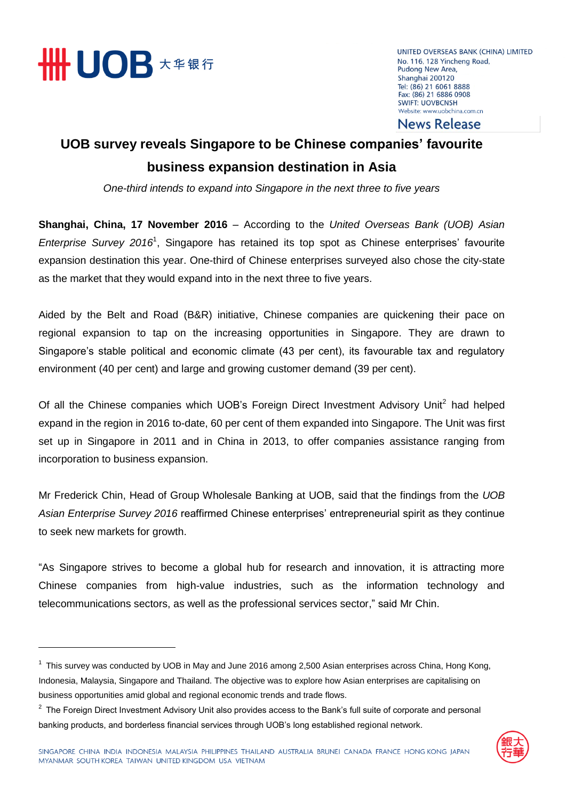

 $\overline{a}$ 

UNITED OVERSEAS BANK (CHINA) LIMITED No. 116, 128 Yincheng Road, Pudong New Area, Shanghai 200120 Tel: (86) 21 6061 8888 Fax: (86) 21 6886 0908 **SWIFT: UOVBCNSH** Website: www.uobchina.com.cn

**News Release** 

## **UOB survey reveals Singapore to be Chinese companies' favourite business expansion destination in Asia**

*One-third intends to expand into Singapore in the next three to five years*

**Shanghai, China, 17 November 2016** – According to the *United Overseas Bank (UOB) Asian Enterprise Survey 2016*<sup>1</sup> , Singapore has retained its top spot as Chinese enterprises' favourite expansion destination this year. One-third of Chinese enterprises surveyed also chose the city-state as the market that they would expand into in the next three to five years.

Aided by the Belt and Road (B&R) initiative, Chinese companies are quickening their pace on regional expansion to tap on the increasing opportunities in Singapore. They are drawn to Singapore's stable political and economic climate (43 per cent), its favourable tax and regulatory environment (40 per cent) and large and growing customer demand (39 per cent).

Of all the Chinese companies which UOB's Foreign Direct Investment Advisory Unit<sup>2</sup> had helped expand in the region in 2016 to-date, 60 per cent of them expanded into Singapore. The Unit was first set up in Singapore in 2011 and in China in 2013, to offer companies assistance ranging from incorporation to business expansion.

Mr Frederick Chin, Head of Group Wholesale Banking at UOB, said that the findings from the *UOB Asian Enterprise Survey 2016* reaffirmed Chinese enterprises' entrepreneurial spirit as they continue to seek new markets for growth.

"As Singapore strives to become a global hub for research and innovation, it is attracting more Chinese companies from high-value industries, such as the information technology and telecommunications sectors, as well as the professional services sector," said Mr Chin.

 $2$  The Foreign Direct Investment Advisory Unit also provides access to the Bank's full suite of corporate and personal banking products, and borderless financial services through UOB's long established regional network.



<sup>&</sup>lt;sup>1</sup> This survey was conducted by UOB in May and June 2016 among 2,500 Asian enterprises across China, Hong Kong, Indonesia, Malaysia, Singapore and Thailand. The objective was to explore how Asian enterprises are capitalising on business opportunities amid global and regional economic trends and trade flows.